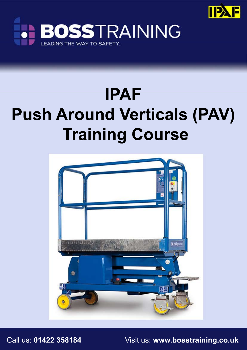



# **IPAF Push Around Verticals (PAV) Training Course**



Call us: **01422 358184** Visit us: **www.bosstraining.co.uk**